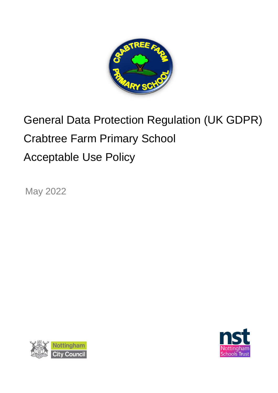

# General Data Protection Regulation (UK GDPR) Crabtree Farm Primary School Acceptable Use Policy

May 2022



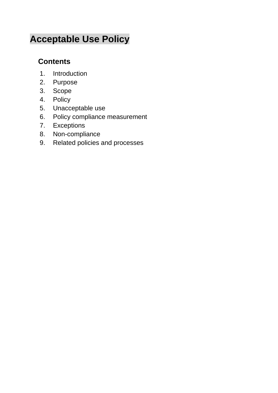# **Acceptable Use Policy**

# **Contents**

- 1. Introduction
- 2. Purpose
- 3. Scope
- 4. Policy
- 5. Unacceptable use
- 6. Policy compliance measurement
- 7. Exceptions
- 8. Non-compliance
- 9. Related policies and processes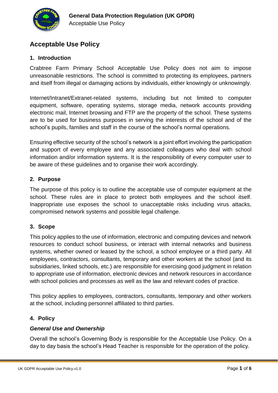

## **Acceptable Use Policy**

#### **1. Introduction**

Crabtree Farm Primary School Acceptable Use Policy does not aim to impose unreasonable restrictions. The school is committed to protecting its employees, partners and itself from illegal or damaging actions by individuals, either knowingly or unknowingly.

Internet/Intranet/Extranet-related systems, including but not limited to computer equipment, software, operating systems, storage media, network accounts providing electronic mail, Internet browsing and FTP are the property of the school. These systems are to be used for business purposes in serving the interests of the school and of the school's pupils, families and staff in the course of the school's normal operations.

Ensuring effective security of the school's network is a joint effort involving the participation and support of every employee and any associated colleagues who deal with school information and/or information systems. It is the responsibility of every computer user to be aware of these guidelines and to organise their work accordingly.

#### **2. Purpose**

The purpose of this policy is to outline the acceptable use of computer equipment at the school. These rules are in place to protect both employees and the school itself. Inappropriate use exposes the school to unacceptable risks including virus attacks, compromised network systems and possible legal challenge.

#### **3. Scope**

This policy applies to the use of information, electronic and computing devices and network resources to conduct school business, or interact with internal networks and business systems, whether owned or leased by the school, a school employee or a third party. All employees, contractors, consultants, temporary and other workers at the school (and its subsidiaries, linked schools, etc.) are responsible for exercising good judgment in relation to appropriate use of information, electronic devices and network resources in accordance with school policies and processes as well as the law and relevant codes of practice.

This policy applies to employees, contractors, consultants, temporary and other workers at the school, including personnel affiliated to third parties.

#### **4. Policy**

#### *General Use and Ownership*

Overall the school's Governing Body is responsible for the Acceptable Use Policy. On a day to day basis the school's Head Teacher is responsible for the operation of the policy.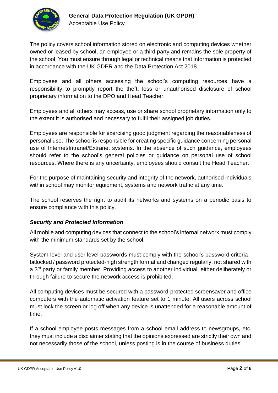

The policy covers school information stored on electronic and computing devices whether owned or leased by school, an employee or a third party and remains the sole property of the school. You must ensure through legal or technical means that information is protected in accordance with the UK GDPR and the Data Protection Act 2018.

Employees and all others accessing the school's computing resources have a responsibility to promptly report the theft, loss or unauthorised disclosure of school proprietary information to the DPO and Head Teacher.

Employees and all others may access, use or share school proprietary information only to the extent it is authorised and necessary to fulfil their assigned job duties.

Employees are responsible for exercising good judgment regarding the reasonableness of personal use. The school is responsible for creating specific guidance concerning personal use of Internet/Intranet/Extranet systems. In the absence of such guidance, employees should refer to the school's general policies or guidance on personal use of school resources. Where there is any uncertainty, employees should consult the Head Teacher.

For the purpose of maintaining security and integrity of the network, authorised individuals within school may monitor equipment, systems and network traffic at any time.

The school reserves the right to audit its networks and systems on a periodic basis to ensure compliance with this policy.

#### *Security and Protected Information*

All mobile and computing devices that connect to the school's internal network must comply with the minimum standards set by the school.

System level and user level passwords must comply with the school's password criteria bitlocked / password protected-high strength format and changed regularly, not shared with a 3<sup>rd</sup> party or family member. Providing access to another individual, either deliberately or through failure to secure the network access is prohibited.

All computing devices must be secured with a password-protected screensaver and office computers with the automatic activation feature set to 1 minute. All users across school must lock the screen or log off when any device is unattended for a reasonable amount of time.

If a school employee posts messages from a school email address to newsgroups, etc. they must include a disclaimer stating that the opinions expressed are strictly their own and not necessarily those of the school, unless posting is in the course of business duties.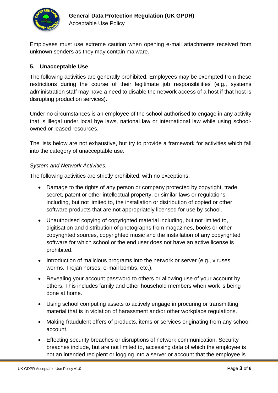

Employees must use extreme caution when opening e-mail attachments received from unknown senders as they may contain malware.

#### **5. Unacceptable Use**

The following activities are generally prohibited. Employees may be exempted from these restrictions during the course of their legitimate job responsibilities (e.g., systems administration staff may have a need to disable the network access of a host if that host is disrupting production services).

Under no circumstances is an employee of the school authorised to engage in any activity that is illegal under local bye laws, national law or international law while using schoolowned or leased resources.

The lists below are not exhaustive, but try to provide a framework for activities which fall into the category of unacceptable use.

#### *System and Network Activities.*

The following activities are strictly prohibited, with no exceptions:

- Damage to the rights of any person or company protected by copyright, trade secret, patent or other intellectual property, or similar laws or regulations, including, but not limited to, the installation or distribution of copied or other software products that are not appropriately licensed for use by school.
- Unauthorised copying of copyrighted material including, but not limited to, digitisation and distribution of photographs from magazines, books or other copyrighted sources, copyrighted music and the installation of any copyrighted software for which school or the end user does not have an active license is prohibited.
- Introduction of malicious programs into the network or server (e.g., viruses, worms, Trojan horses, e-mail bombs, etc.).
- Revealing your account password to others or allowing use of your account by others. This includes family and other household members when work is being done at home.
- Using school computing assets to actively engage in procuring or transmitting material that is in violation of harassment and/or other workplace regulations.
- Making fraudulent offers of products, items or services originating from any school account.
- Effecting security breaches or disruptions of network communication. Security breaches include, but are not limited to, accessing data of which the employee is not an intended recipient or logging into a server or account that the employee is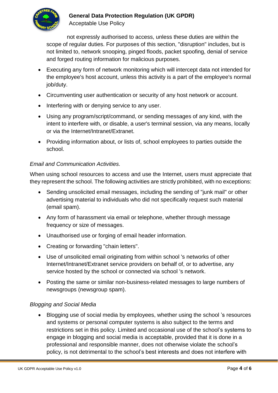

### **General Data Protection Regulation (UK GPDR)**

Acceptable Use Policy

not expressly authorised to access, unless these duties are within the scope of regular duties. For purposes of this section, "disruption" includes, but is not limited to, network snooping, pinged floods, packet spoofing, denial of service and forged routing information for malicious purposes.

- Executing any form of network monitoring which will intercept data not intended for the employee's host account, unless this activity is a part of the employee's normal job/duty.
- Circumventing user authentication or security of any host network or account.
- Interfering with or denying service to any user.
- Using any program/script/command, or sending messages of any kind, with the intent to interfere with, or disable, a user's terminal session, via any means, locally or via the Internet/Intranet/Extranet.
- Providing information about, or lists of, school employees to parties outside the school.

#### *Email and Communication Activities.*

When using school resources to access and use the Internet, users must appreciate that they represent the school. The following activities are strictly prohibited, with no exceptions:

- Sending unsolicited email messages, including the sending of "junk mail" or other advertising material to individuals who did not specifically request such material (email spam).
- Any form of harassment via email or telephone, whether through message frequency or size of messages.
- Unauthorised use or forging of email header information.
- Creating or forwarding "chain letters".
- Use of unsolicited email originating from within school 's networks of other Internet/Intranet/Extranet service providers on behalf of, or to advertise, any service hosted by the school or connected via school 's network.
- Posting the same or similar non-business-related messages to large numbers of newsgroups (newsgroup spam).

#### *Blogging and Social Media*

• Blogging use of social media by employees, whether using the school 's resources and systems or personal computer systems is also subject to the terms and restrictions set in this policy. Limited and occasional use of the school's systems to engage in blogging and social media is acceptable, provided that it is done in a professional and responsible manner, does not otherwise violate the school's policy, is not detrimental to the school's best interests and does not interfere with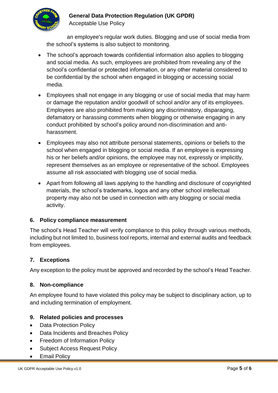

# **General Data Protection Regulation (UK GPDR)**

Acceptable Use Policy

an employee's regular work duties. Blogging and use of social media from the school's systems is also subject to monitoring.

- The school's approach towards confidential information also applies to blogging and social media. As such, employees are prohibited from revealing any of the school's confidential or protected information, or any other material considered to be confidential by the school when engaged in blogging or accessing social media.
- Employees shall not engage in any blogging or use of social media that may harm or damage the reputation and/or goodwill of school and/or any of its employees. Employees are also prohibited from making any discriminatory, disparaging, defamatory or harassing comments when blogging or otherwise engaging in any conduct prohibited by school's policy around non-discrimination and antiharassment.
- Employees may also not attribute personal statements, opinions or beliefs to the school when engaged in blogging or social media. If an employee is expressing his or her beliefs and/or opinions, the employee may not, expressly or implicitly, represent themselves as an employee or representative of the school. Employees assume all risk associated with blogging use of social media.
- Apart from following all laws applying to the handling and disclosure of copyrighted materials, the school's trademarks, logos and any other school intellectual property may also not be used in connection with any blogging or social media activity.

#### **6. Policy compliance measurement**

The school's Head Teacher will verify compliance to this policy through various methods, including but not limited to, business tool reports, internal and external audits and feedback from employees.

#### **7. Exceptions**

Any exception to the policy must be approved and recorded by the school's Head Teacher.

#### **8. Non-compliance**

An employee found to have violated this policy may be subject to disciplinary action, up to and including termination of employment.

#### **9. Related policies and processes**

- Data Protection Policy
- Data Incidents and Breaches Policy
- Freedom of Information Policy
- Subject Access Request Policy
- **Email Policy**